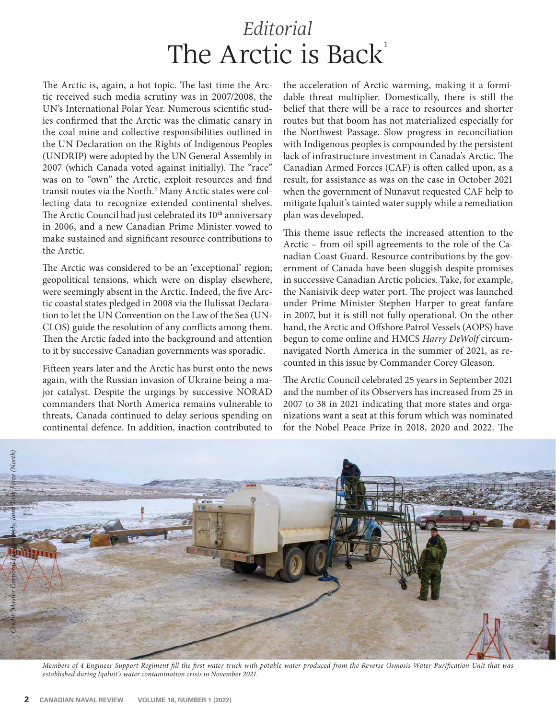## *Editorial* The Arctic is Back<sup>1</sup>

The Arctic is, again, a hot topic. The last time the Arctic received such media scrutiny was in 2007/2008, the UN's International Polar Year. Numerous scientific studies confirmed that the Arctic was the climatic canary in the coal mine and collective responsibilities outlined in the UN Declaration on the Rights of Indigenous Peoples (UNDRIP) were adopted by the UN General Assembly in 2007 (which Canada voted against initially). The "race" was on to "own" the Arctic, exploit resources and find transit routes via the North.<sup>2</sup> Many Arctic states were collecting data to recognize extended continental shelves. The Arctic Council had just celebrated its 10<sup>th</sup> anniversary in 2006, and a new Canadian Prime Minister vowed to make sustained and significant resource contributions to the Arctic.

The Arctic was considered to be an 'exceptional' region; geopolitical tensions, which were on display elsewhere, were seemingly absent in the Arctic. Indeed, the five Arctic coastal states pledged in 2008 via the Ilulissat Declaration to let the UN Convention on the Law of the Sea (UN-CLOS) guide the resolution of any conflicts among them. Then the Arctic faded into the background and attention to it by successive Canadian governments was sporadic.

Fifteen years later and the Arctic has burst onto the news again, with the Russian invasion of Ukraine being a major catalyst. Despite the urgings by successive NORAD commanders that North America remains vulnerable to threats, Canada continued to delay serious spending on continental defence. In addition, inaction contributed to

the acceleration of Arctic warming, making it a formidable threat multiplier. Domestically, there is still the belief that there will be a race to resources and shorter routes but that boom has not materialized especially for the Northwest Passage. Slow progress in reconciliation with Indigenous peoples is compounded by the persistent lack of infrastructure investment in Canada's Arctic. The Canadian Armed Forces (CAF) is often called upon, as a result, for assistance as was on the case in October 2021 when the government of Nunavut requested CAF help to mitigate Iqaluit's tainted water supply while a remediation plan was developed.

This theme issue reflects the increased attention to the Arctic – from oil spill agreements to the role of the Canadian Coast Guard. Resource contributions by the government of Canada have been sluggish despite promises in successive Canadian Arctic policies. Take, for example, the Nanisivik deep water port. The project was launched under Prime Minister Stephen Harper to great fanfare in 2007, but it is still not fully operational. On the other hand, the Arctic and Offshore Patrol Vessels (AOPS) have begun to come online and HMCS *Harry DeWolf* circumnavigated North America in the summer of 2021, as recounted in this issue by Commander Corey Gleason.

The Arctic Council celebrated 25 years in September 2021 and the number of its Observers has increased from 25 in 2007 to 38 in 2021 indicating that more states and organizations want a seat at this forum which was nominated for the Nobel Peace Prize in  $2018$ ,  $2020$  and  $2022$ . The



Members of 4 Engineer Support Regiment fill the first water truck with potable water produced from the Reverse Osmosis Water Purification Unit that was *established during Iqaluit's water contamination crisis in November 2021.*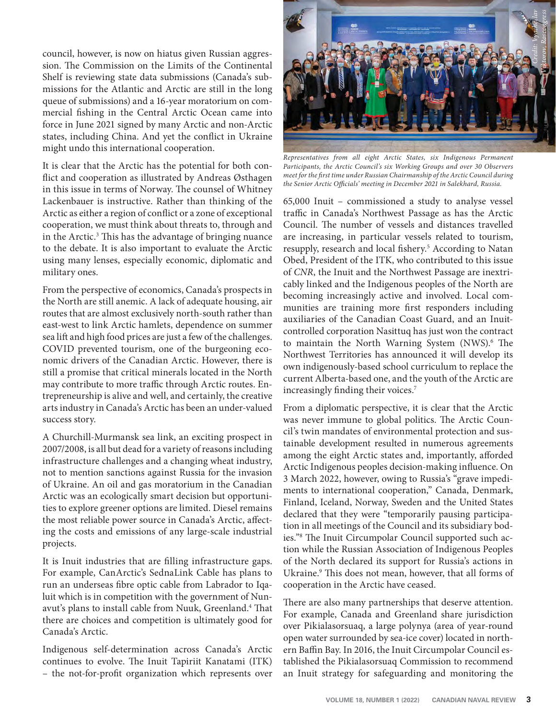council, however, is now on hiatus given Russian aggression. The Commission on the Limits of the Continental Shelf is reviewing state data submissions (Canada's submissions for the Atlantic and Arctic are still in the long queue of submissions) and a 16-year moratorium on commercial fishing in the Central Arctic Ocean came into force in June 2021 signed by many Arctic and non-Arctic states, including China. And yet the conflict in Ukraine might undo this international cooperation.

It is clear that the Arctic has the potential for both conflict and cooperation as illustrated by Andreas Østhagen in this issue in terms of Norway. The counsel of Whitney Lackenbauer is instructive. Rather than thinking of the Arctic as either a region of conflict or a zone of exceptional cooperation, we must think about threats to, through and in the Arctic.<sup>3</sup> This has the advantage of bringing nuance to the debate. It is also important to evaluate the Arctic using many lenses, especially economic, diplomatic and military ones.

From the perspective of economics, Canada's prospects in the North are still anemic. A lack of adequate housing, air routes that are almost exclusively north-south rather than east-west to link Arctic hamlets, dependence on summer sea lift and high food prices are just a few of the challenges. COVID prevented tourism, one of the burgeoning economic drivers of the Canadian Arctic. However, there is still a promise that critical minerals located in the North may contribute to more traffic through Arctic routes. Entrepreneurship is alive and well, and certainly, the creative arts industry in Canada's Arctic has been an under-valued success story.

A Churchill-Murmansk sea link, an exciting prospect in 2007/2008, is all but dead for a variety of reasons including infrastructure challenges and a changing wheat industry, not to mention sanctions against Russia for the invasion of Ukraine. An oil and gas moratorium in the Canadian Arctic was an ecologically smart decision but opportunities to explore greener options are limited. Diesel remains the most reliable power source in Canada's Arctic, affecting the costs and emissions of any large-scale industrial projects.

It is Inuit industries that are filling infrastructure gaps. For example, CanArctic's SednaLink Cable has plans to run an underseas fibre optic cable from Labrador to Iqaluit which is in competition with the government of Nunavut's plans to install cable from Nuuk, Greenland.<sup>4</sup> That there are choices and competition is ultimately good for Canada's Arctic.

Indigenous self-determination across Canada's Arctic continues to evolve. The Inuit Tapiriit Kanatami (ITK) – the not-for-profit organization which represents over



*Representatives from all eight Arctic States, six Indigenous Permanent Participants, the Arctic Council's six Working Groups and over 30 Observers*  meet for the first time under Russian Chairmanship of the Arctic Council during the Senior Arctic Officials' meeting in December 2021 in Salekhard, Russia.

65,000 Inuit – commissioned a study to analyse vessel traffic in Canada's Northwest Passage as has the Arctic Council. The number of vessels and distances travelled are increasing, in particular vessels related to tourism, resupply, research and local fishery.<sup>5</sup> According to Natan Obed, President of the ITK, who contributed to this issue of *CNR*, the Inuit and the Northwest Passage are inextricably linked and the Indigenous peoples of the North are becoming increasingly active and involved. Local communities are training more first responders including auxiliaries of the Canadian Coast Guard, and an Inuitcontrolled corporation Nasittuq has just won the contract to maintain the North Warning System (NWS).<sup>6</sup> The Northwest Territories has announced it will develop its own indigenously-based school curriculum to replace the current Alberta-based one, and the youth of the Arctic are increasingly finding their voices.<sup>7</sup>

From a diplomatic perspective, it is clear that the Arctic was never immune to global politics. The Arctic Council's twin mandates of environmental protection and sustainable development resulted in numerous agreements among the eight Arctic states and, importantly, afforded Arctic Indigenous peoples decision-making influence. On 3 March 2022, however, owing to Russia's "grave impediments to international cooperation," Canada, Denmark, Finland, Iceland, Norway, Sweden and the United States declared that they were "temporarily pausing participation in all meetings of the Council and its subsidiary bodies."<sup>8</sup> The Inuit Circumpolar Council supported such action while the Russian Association of Indigenous Peoples of the North declared its support for Russia's actions in Ukraine.<sup>9</sup> This does not mean, however, that all forms of cooperation in the Arctic have ceased.

There are also many partnerships that deserve attention. For example, Canada and Greenland share jurisdiction over Pikialasorsuaq, a large polynya (area of year-round open water surrounded by sea-ice cover) located in northern Baffin Bay. In 2016, the Inuit Circumpolar Council established the Pikialasorsuaq Commission to recommend an Inuit strategy for safeguarding and monitoring the